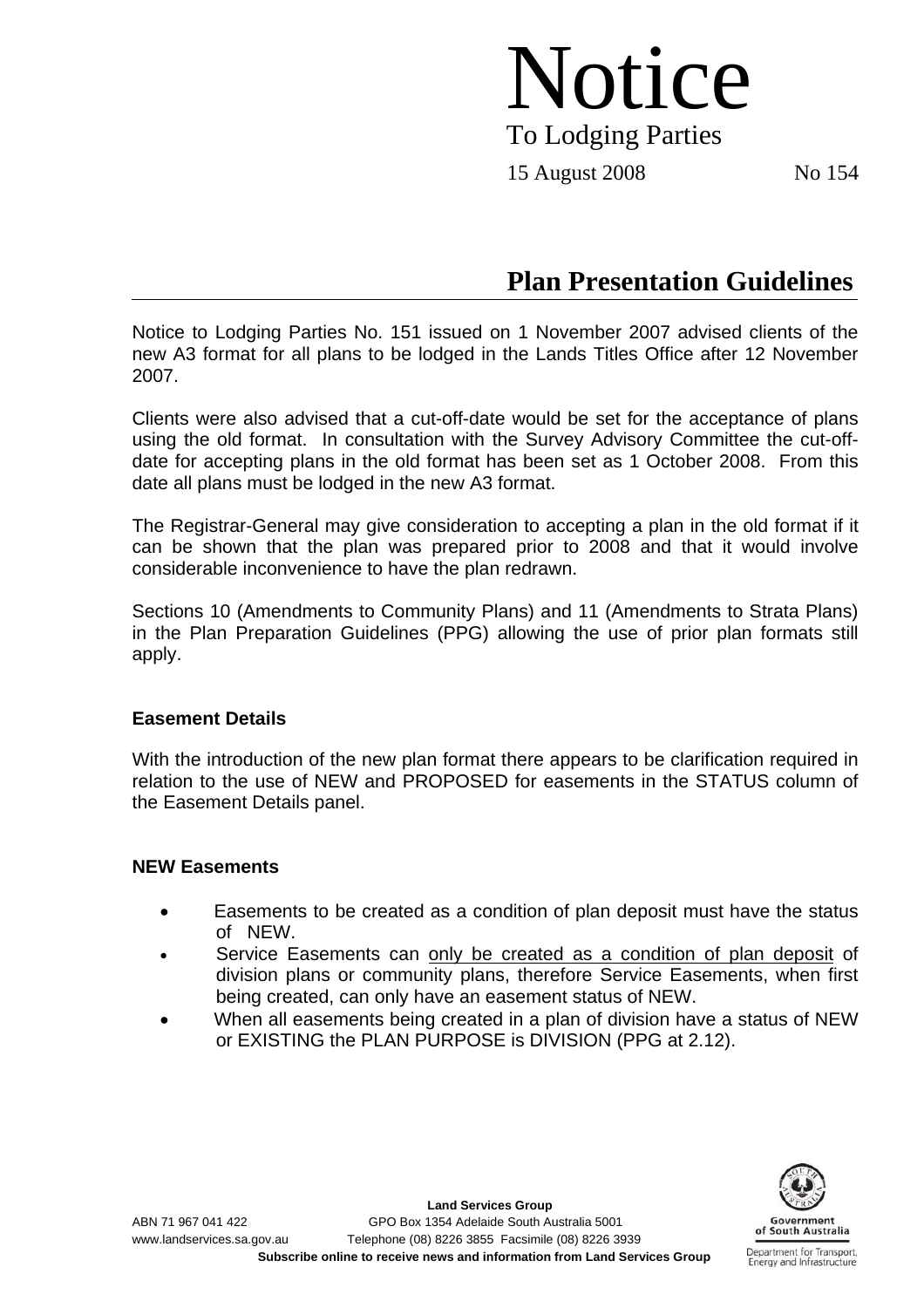# Notice To Lodging Parties

15 August 2008 No 154

## **Plan Presentation Guidelines**

Notice to Lodging Parties No. 151 issued on 1 November 2007 advised clients of the new A3 format for all plans to be lodged in the Lands Titles Office after 12 November 2007.

Clients were also advised that a cut-off-date would be set for the acceptance of plans using the old format. In consultation with the Survey Advisory Committee the cut-offdate for accepting plans in the old format has been set as 1 October 2008. From this date all plans must be lodged in the new A3 format.

The Registrar-General may give consideration to accepting a plan in the old format if it can be shown that the plan was prepared prior to 2008 and that it would involve considerable inconvenience to have the plan redrawn.

Sections 10 (Amendments to Community Plans) and 11 (Amendments to Strata Plans) in the Plan Preparation Guidelines (PPG) allowing the use of prior plan formats still apply.

### **Easement Details**

With the introduction of the new plan format there appears to be clarification required in relation to the use of NEW and PROPOSED for easements in the STATUS column of the Easement Details panel.

### **NEW Easements**

- Easements to be created as a condition of plan deposit must have the status of NEW.
- Service Easements can only be created as a condition of plan deposit of division plans or community plans, therefore Service Easements, when first being created, can only have an easement status of NEW.
- When all easements being created in a plan of division have a status of NEW or EXISTING the PLAN PURPOSE is DIVISION (PPG at 2.12).